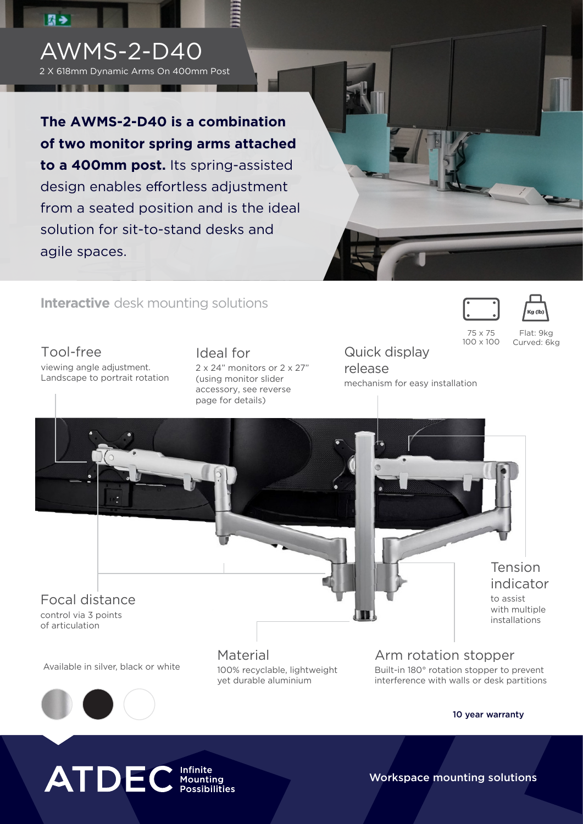### AWMS-2-D40

图书

2 X 618mm Dynamic Arms On 400mm Post

**The AWMS-2-D40 is a combination of two monitor spring arms attached to a 400mm post.** Its spring-assisted design enables effortless adjustment from a seated position and is the ideal solution for sit-to-stand desks and agile spaces.



### **Interactive** desk mounting solutions

Tool-free viewing angle adjustment. Landscape to portrait rotation Ideal for 2 x 24" monitors or 2 x 27" (using monitor slider accessory, see reverse page for details)

Quick display release mechanism for easy installation





75 x 75 100 x 100

Flat: 9kg Curved: 6kg

# Focal distance control via 3 points of articulation

Available in silver, black or white

Material 100% recyclable, lightweight yet durable aluminium

Arm rotation stopper Built-in 180° rotation stopper to prevent interference with walls or desk partitions

#### 10 year warranty

Tension indicator to assist with multiple installations

### **ATDEC** *Infinite Possibilities*

Workspace mounting solutions